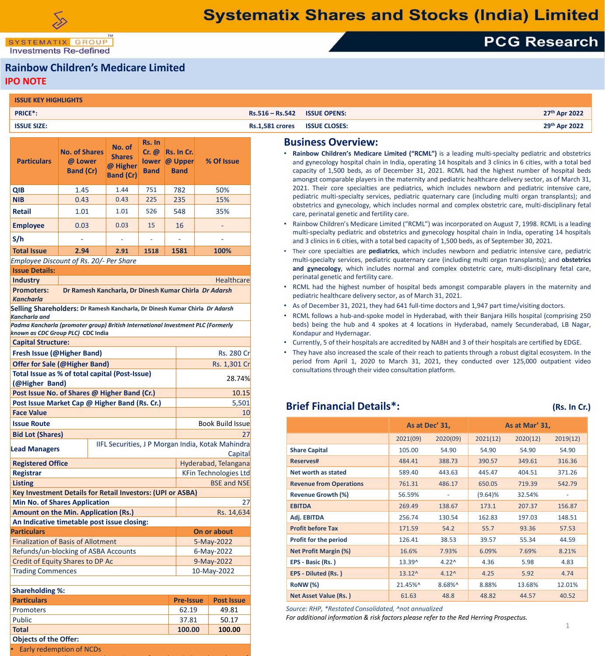SYSTEMATIX GROUP **Investments Re-defined** 

• Early redemption of NCDs

# **PCG Research**

#### **Rainbow Children's Medicare Limited IPO NOTE**

| <b>ISSUE KEY HIGHLIGHTS</b>                  |                                                                                 |                                                         |                                |                                            |                                                   |                        |                                                                                                                                                                                                                                                                                                                                                                                                                                                         |                 |                                                                                                                                                                                                                        |          |                |                                                                                                                                                   |  |  |
|----------------------------------------------|---------------------------------------------------------------------------------|---------------------------------------------------------|--------------------------------|--------------------------------------------|---------------------------------------------------|------------------------|---------------------------------------------------------------------------------------------------------------------------------------------------------------------------------------------------------------------------------------------------------------------------------------------------------------------------------------------------------------------------------------------------------------------------------------------------------|-----------------|------------------------------------------------------------------------------------------------------------------------------------------------------------------------------------------------------------------------|----------|----------------|---------------------------------------------------------------------------------------------------------------------------------------------------|--|--|
| <b>PRICE*:</b>                               |                                                                                 |                                                         |                                |                                            |                                                   | $Rs.516 - Rs.542$      | <b>ISSUE OPENS:</b>                                                                                                                                                                                                                                                                                                                                                                                                                                     |                 |                                                                                                                                                                                                                        |          |                | 27th Apr 2022                                                                                                                                     |  |  |
| <b>ISSUE SIZE:</b>                           |                                                                                 |                                                         |                                |                                            |                                                   | <b>Rs.1,581 crores</b> | <b>ISSUE CLOSES:</b>                                                                                                                                                                                                                                                                                                                                                                                                                                    |                 |                                                                                                                                                                                                                        |          |                | 29th Apr 2022                                                                                                                                     |  |  |
| <b>Particulars</b>                           | <b>No. of Shares</b><br>@ Lower<br><b>Band (Cr)</b>                             | No. of<br><b>Shares</b><br>@ Higher<br><b>Band (Cr)</b> | Rs. In<br>Cr. @<br><b>Band</b> | Rs. In Cr.<br>lower @ Upper<br><b>Band</b> | % Of Issue                                        |                        | <b>Business Overview:</b><br>Rainbow Children's Medicare Limited ("RCML") is a leading multi-specialty pediatric and obstetrics<br>and gynecology hospital chain in India, operating 14 hospitals and 3 clinics in 6 cities, with a total bed<br>capacity of 1,500 beds, as of December 31, 2021. RCML had the highest number of hospital beds<br>amongst comparable players in the maternity and pediatric healthcare delivery sector, as of March 31, |                 |                                                                                                                                                                                                                        |          |                |                                                                                                                                                   |  |  |
| <b>QIB</b>                                   | 1.45                                                                            | 1.44                                                    | 751                            | 782                                        | 50%                                               |                        | 2021. Their core specialties are pediatrics, which includes newborn and pediatric intensive care,                                                                                                                                                                                                                                                                                                                                                       |                 |                                                                                                                                                                                                                        |          |                |                                                                                                                                                   |  |  |
| <b>NIB</b>                                   | 0.43                                                                            | 0.43                                                    | 225                            | 235                                        | 15%                                               |                        | pediatric multi-specialty services, pediatric quaternary care (including multi organ transplants); and                                                                                                                                                                                                                                                                                                                                                  |                 |                                                                                                                                                                                                                        |          |                |                                                                                                                                                   |  |  |
| <b>Retail</b>                                | 1.01                                                                            | 1.01                                                    | 526                            | 548                                        | 35%                                               |                        | obstetrics and gynecology, which includes normal and complex obstetric care, multi-disciplinary fetal<br>care, perinatal genetic and fertility care.                                                                                                                                                                                                                                                                                                    |                 |                                                                                                                                                                                                                        |          |                |                                                                                                                                                   |  |  |
|                                              | 0.03                                                                            | 0.03                                                    | 15                             | 16                                         | $\equiv$                                          |                        | • Rainbow Children's Medicare Limited ("RCML") was incorporated on August 7, 1998. RCML is a leading                                                                                                                                                                                                                                                                                                                                                    |                 |                                                                                                                                                                                                                        |          |                |                                                                                                                                                   |  |  |
| <b>Employee</b>                              |                                                                                 |                                                         |                                |                                            |                                                   |                        | multi-specialty pediatric and obstetrics and gynecology hospital chain in India, operating 14 hospitals                                                                                                                                                                                                                                                                                                                                                 |                 |                                                                                                                                                                                                                        |          |                |                                                                                                                                                   |  |  |
| S/h                                          |                                                                                 |                                                         |                                | $\overline{\phantom{a}}$                   |                                                   |                        | and 3 clinics in 6 cities, with a total bed capacity of 1,500 beds, as of September 30, 2021.                                                                                                                                                                                                                                                                                                                                                           |                 |                                                                                                                                                                                                                        |          |                |                                                                                                                                                   |  |  |
| <b>Total Issue</b>                           | 2.94                                                                            | 2.91                                                    | 1518                           | 1581                                       | 100%                                              |                        | • Their core specialties are pediatrics, which includes newborn and pediatric intensive care, pediatric                                                                                                                                                                                                                                                                                                                                                 |                 |                                                                                                                                                                                                                        |          |                |                                                                                                                                                   |  |  |
|                                              | Employee Discount of Rs. 20/- Per Share                                         |                                                         |                                |                                            |                                                   |                        | multi-specialty services, pediatric quaternary care (including multi organ transplants); and obstetrics<br>and gynecology, which includes normal and complex obstetric care, multi-disciplinary fetal care,                                                                                                                                                                                                                                             |                 |                                                                                                                                                                                                                        |          |                |                                                                                                                                                   |  |  |
| <b>Issue Details:</b>                        |                                                                                 |                                                         |                                |                                            | Healthcare                                        |                        | perinatal genetic and fertility care.                                                                                                                                                                                                                                                                                                                                                                                                                   |                 |                                                                                                                                                                                                                        |          |                |                                                                                                                                                   |  |  |
| <b>Industry</b><br><b>Promoters:</b>         | Dr Ramesh Kancharla, Dr Dinesh Kumar Chirla Dr Adarsh                           |                                                         |                                |                                            |                                                   |                        | • RCML had the highest number of hospital beds amongst comparable players in the maternity and                                                                                                                                                                                                                                                                                                                                                          |                 |                                                                                                                                                                                                                        |          |                |                                                                                                                                                   |  |  |
| <b>Kancharla</b>                             |                                                                                 |                                                         |                                |                                            |                                                   |                        | pediatric healthcare delivery sector, as of March 31, 2021.                                                                                                                                                                                                                                                                                                                                                                                             |                 |                                                                                                                                                                                                                        |          |                |                                                                                                                                                   |  |  |
|                                              | Selling Shareholders: Dr Ramesh Kancharla, Dr Dinesh Kumar Chirla Dr Adarsh     |                                                         |                                |                                            |                                                   |                        | • As of December 31, 2021, they had 641 full-time doctors and 1,947 part time/visiting doctors.                                                                                                                                                                                                                                                                                                                                                         |                 |                                                                                                                                                                                                                        |          |                |                                                                                                                                                   |  |  |
| <b>Kancharla and</b>                         |                                                                                 |                                                         |                                |                                            |                                                   |                        | • RCML follows a hub-and-spoke model in Hyderabad, with their Banjara Hills hospital (comprising 250                                                                                                                                                                                                                                                                                                                                                    |                 |                                                                                                                                                                                                                        |          |                |                                                                                                                                                   |  |  |
|                                              | Padma Kancharla (promoter group) British International Investment PLC (Formerly |                                                         |                                |                                            |                                                   |                        | beds) being the hub and 4 spokes at 4 locations in Hyderabad, namely Secunderabad, LB Nagar,<br>Kondapur and Hydernagar.                                                                                                                                                                                                                                                                                                                                |                 |                                                                                                                                                                                                                        |          |                |                                                                                                                                                   |  |  |
| known as CDC Group PLC) CDC India            |                                                                                 |                                                         |                                |                                            |                                                   |                        |                                                                                                                                                                                                                                                                                                                                                                                                                                                         |                 |                                                                                                                                                                                                                        |          |                |                                                                                                                                                   |  |  |
|                                              |                                                                                 |                                                         |                                | <b>Fresh Issue (@Higher Band)</b>          |                                                   |                        |                                                                                                                                                                                                                                                                                                                                                                                                                                                         |                 | . Currently, 5 of their hospitals are accredited by NABH and 3 of their hospitals are certified by EDGE.<br>• They have also increased the scale of their reach to patients through a robust digital ecosystem. In the |          |                |                                                                                                                                                   |  |  |
| <b>Capital Structure:</b>                    |                                                                                 |                                                         |                                |                                            |                                                   |                        |                                                                                                                                                                                                                                                                                                                                                                                                                                                         |                 |                                                                                                                                                                                                                        |          |                |                                                                                                                                                   |  |  |
|                                              |                                                                                 |                                                         |                                |                                            | Rs. 280 Cr                                        |                        | period from April 1, 2020 to March 31, 2021, they conducted over 125,000 outpatient video                                                                                                                                                                                                                                                                                                                                                               |                 |                                                                                                                                                                                                                        |          |                |                                                                                                                                                   |  |  |
|                                              | <b>Offer for Sale (@Higher Band)</b>                                            |                                                         |                                |                                            | Rs. 1,301 Cr                                      |                        | consultations through their video consultation platform.                                                                                                                                                                                                                                                                                                                                                                                                |                 |                                                                                                                                                                                                                        |          |                |                                                                                                                                                   |  |  |
| (@Higher Band)                               | Total Issue as % of total capital (Post-Issue)                                  |                                                         |                                |                                            | 28.74%                                            |                        |                                                                                                                                                                                                                                                                                                                                                                                                                                                         |                 |                                                                                                                                                                                                                        |          |                |                                                                                                                                                   |  |  |
|                                              | Post Issue No. of Shares @ Higher Band (Cr.)                                    |                                                         |                                |                                            | 10.15                                             |                        |                                                                                                                                                                                                                                                                                                                                                                                                                                                         |                 |                                                                                                                                                                                                                        |          |                |                                                                                                                                                   |  |  |
|                                              | Post Issue Market Cap @ Higher Band (Rs. Cr.)                                   |                                                         |                                |                                            | 5,501                                             |                        | <b>Brief Financial Details*:</b>                                                                                                                                                                                                                                                                                                                                                                                                                        |                 |                                                                                                                                                                                                                        |          |                |                                                                                                                                                   |  |  |
| <b>Face Value</b>                            |                                                                                 |                                                         |                                |                                            |                                                   | 10                     |                                                                                                                                                                                                                                                                                                                                                                                                                                                         |                 |                                                                                                                                                                                                                        |          |                |                                                                                                                                                   |  |  |
| <b>Issue Route</b>                           |                                                                                 |                                                         |                                |                                            | <b>Book Build Issue</b>                           |                        |                                                                                                                                                                                                                                                                                                                                                                                                                                                         |                 | As at Dec' 31,                                                                                                                                                                                                         |          | As at Mar' 31, |                                                                                                                                                   |  |  |
| <b>Bid Lot (Shares)</b>                      |                                                                                 |                                                         |                                |                                            |                                                   | 27                     |                                                                                                                                                                                                                                                                                                                                                                                                                                                         | 2021(09)        | 2020(09)                                                                                                                                                                                                               | 2021(12) | 2020(12)       |                                                                                                                                                   |  |  |
| <b>Lead Managers</b>                         |                                                                                 |                                                         |                                |                                            | IIFL Securities, J P Morgan India, Kotak Mahindra |                        | <b>Share Capital</b>                                                                                                                                                                                                                                                                                                                                                                                                                                    | 105.00          | 54.90                                                                                                                                                                                                                  | 54.90    | 54.90          |                                                                                                                                                   |  |  |
|                                              |                                                                                 |                                                         |                                |                                            | Capital                                           |                        | <b>Reserves#</b>                                                                                                                                                                                                                                                                                                                                                                                                                                        | 484.41          | 388.73                                                                                                                                                                                                                 | 390.57   | 349.61         |                                                                                                                                                   |  |  |
| <b>Registered Office</b>                     |                                                                                 |                                                         |                                |                                            | Hyderabad, Telangana                              |                        |                                                                                                                                                                                                                                                                                                                                                                                                                                                         |                 |                                                                                                                                                                                                                        |          |                |                                                                                                                                                   |  |  |
| <b>Registrar</b>                             |                                                                                 |                                                         |                                |                                            | KFin Technologies Ltd                             |                        | <b>Net worth as stated</b>                                                                                                                                                                                                                                                                                                                                                                                                                              | 589.40          | 443.63                                                                                                                                                                                                                 | 445.47   | 404.51         |                                                                                                                                                   |  |  |
| <b>Listing</b>                               | <b>Key Investment Details for Retail Investors: (UPI or ASBA)</b>               |                                                         |                                |                                            | <b>BSE and NSE</b>                                |                        | <b>Revenue from Operations</b>                                                                                                                                                                                                                                                                                                                                                                                                                          | 761.31          | 486.17<br>$\blacksquare$                                                                                                                                                                                               | 650.05   | 719.39         |                                                                                                                                                   |  |  |
|                                              | <b>Min No. of Shares Application</b>                                            |                                                         |                                |                                            |                                                   | 27                     | <b>Revenue Growth (%)</b>                                                                                                                                                                                                                                                                                                                                                                                                                               | 56.59%          |                                                                                                                                                                                                                        | (9.64)%  | 32.54%         |                                                                                                                                                   |  |  |
|                                              | <b>Amount on the Min. Application (Rs.)</b>                                     |                                                         |                                |                                            | Rs. 14,634                                        |                        | <b>EBITDA</b>                                                                                                                                                                                                                                                                                                                                                                                                                                           | 269.49          | 138.67                                                                                                                                                                                                                 | 173.1    | 207.37         |                                                                                                                                                   |  |  |
|                                              | An Indicative timetable post issue closing:                                     |                                                         |                                |                                            |                                                   |                        | Adj. EBITDA                                                                                                                                                                                                                                                                                                                                                                                                                                             | 256.74          | 130.54                                                                                                                                                                                                                 | 162.83   | 197.03         |                                                                                                                                                   |  |  |
| <b>Particulars</b>                           |                                                                                 |                                                         |                                |                                            | On or about                                       |                        | <b>Profit before Tax</b>                                                                                                                                                                                                                                                                                                                                                                                                                                | 171.59          | 54.2                                                                                                                                                                                                                   | 55.7     | 93.36          |                                                                                                                                                   |  |  |
|                                              | <b>Finalization of Basis of Allotment</b>                                       |                                                         |                                |                                            | 5-May-2022                                        |                        | <b>Profit for the period</b>                                                                                                                                                                                                                                                                                                                                                                                                                            | 126.41          | 38.53                                                                                                                                                                                                                  | 39.57    | 55.34          |                                                                                                                                                   |  |  |
|                                              | Refunds/un-blocking of ASBA Accounts                                            |                                                         |                                |                                            | 6-May-2022                                        |                        | <b>Net Profit Margin (%)</b>                                                                                                                                                                                                                                                                                                                                                                                                                            | 16.6%           | 7.93%                                                                                                                                                                                                                  | 6.09%    | 7.69%          |                                                                                                                                                   |  |  |
|                                              | Credit of Equity Shares to DP Ac                                                |                                                         |                                |                                            | 9-May-2022                                        |                        | EPS - Basic (Rs.)                                                                                                                                                                                                                                                                                                                                                                                                                                       | 13.39^          | $4.22^$                                                                                                                                                                                                                | 4.36     | 5.98           |                                                                                                                                                   |  |  |
| <b>Trading Commences</b>                     |                                                                                 |                                                         |                                |                                            | 10-May-2022                                       |                        | <b>EPS - Diluted (Rs.)</b>                                                                                                                                                                                                                                                                                                                                                                                                                              | $13.12^{\circ}$ | $4.12^$                                                                                                                                                                                                                | 4.25     | 5.92           |                                                                                                                                                   |  |  |
|                                              |                                                                                 |                                                         |                                |                                            |                                                   |                        | RoNW (%)                                                                                                                                                                                                                                                                                                                                                                                                                                                | 21.45%^         | 8.68%^                                                                                                                                                                                                                 | 8.88%    | 13.68%         |                                                                                                                                                   |  |  |
| <b>Shareholding %:</b><br><b>Particulars</b> |                                                                                 |                                                         |                                | <b>Pre-Issue</b>                           | <b>Post Issue</b>                                 |                        | <b>Net Asset Value (Rs.)</b>                                                                                                                                                                                                                                                                                                                                                                                                                            | 61.63           | 48.8                                                                                                                                                                                                                   | 48.82    | 44.57          |                                                                                                                                                   |  |  |
| Promoters                                    |                                                                                 |                                                         |                                | 62.19                                      | 49.81                                             |                        | Source: RHP, *Restated Consolidated, ^not annualized                                                                                                                                                                                                                                                                                                                                                                                                    |                 |                                                                                                                                                                                                                        |          |                | (Rs. In Cr.)<br>2019(12)<br>54.90<br>316.36<br>371.26<br>542.79<br>156.87<br>148.51<br>57.53<br>44.59<br>8.21%<br>4.83<br>4.74<br>12.01%<br>40.52 |  |  |
| Public                                       |                                                                                 |                                                         |                                | 37.81                                      | 50.17                                             |                        | For additional information & risk factors please refer to the Red Herring Prospectus.                                                                                                                                                                                                                                                                                                                                                                   |                 |                                                                                                                                                                                                                        |          |                |                                                                                                                                                   |  |  |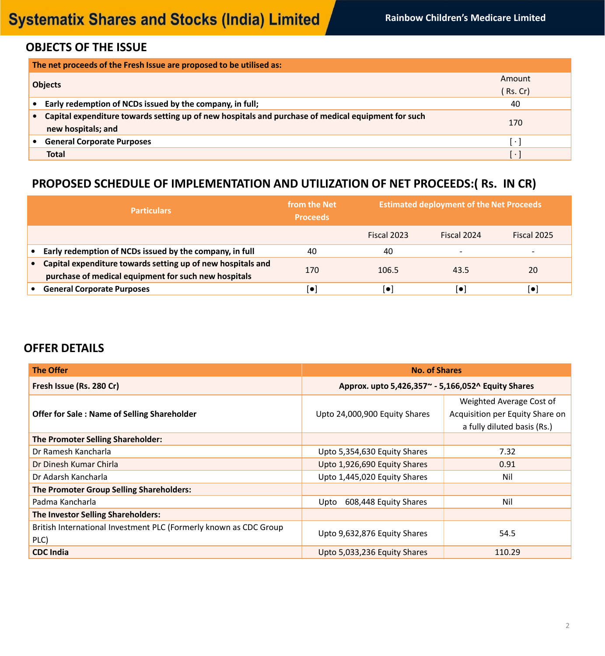### **OBJECTS OF THE ISSUE**

| The net proceeds of the Fresh Issue are proposed to be utilised as:                                |            |  |  |  |  |  |
|----------------------------------------------------------------------------------------------------|------------|--|--|--|--|--|
| <b>Objects</b>                                                                                     | Amount     |  |  |  |  |  |
|                                                                                                    | $RS$ . Cr) |  |  |  |  |  |
| Early redemption of NCDs issued by the company, in full;                                           | 40         |  |  |  |  |  |
| Capital expenditure towards setting up of new hospitals and purchase of medical equipment for such |            |  |  |  |  |  |
| new hospitals; and                                                                                 | 170        |  |  |  |  |  |
| <b>General Corporate Purposes</b>                                                                  | $\bullet$  |  |  |  |  |  |
| <b>Total</b>                                                                                       | $\bullet$  |  |  |  |  |  |

## **PROPOSED SCHEDULE OF IMPLEMENTATION AND UTILIZATION OF NET PROCEEDS:( Rs. IN CR)**

| <b>Particulars</b>                                                                                                  | from the Net<br><b>Proceeds</b> |             | <b>Estimated deployment of the Net Proceeds</b> |                          |  |  |  |
|---------------------------------------------------------------------------------------------------------------------|---------------------------------|-------------|-------------------------------------------------|--------------------------|--|--|--|
|                                                                                                                     |                                 | Fiscal 2023 | Fiscal 2024                                     | Fiscal 2025              |  |  |  |
| Early redemption of NCDs issued by the company, in full                                                             | 40                              | 40          | $\overline{\phantom{a}}$                        | $\overline{\phantom{0}}$ |  |  |  |
| Capital expenditure towards setting up of new hospitals and<br>purchase of medical equipment for such new hospitals | 170                             | 106.5       | 43.5                                            | 20                       |  |  |  |
| <b>General Corporate Purposes</b>                                                                                   |                                 | $\bullet$   | $\blacksquare$                                  | Į.                       |  |  |  |

### **OFFER DETAILS**

| <b>The Offer</b>                                                          | <b>No. of Shares</b>                                |                                                                                            |  |  |
|---------------------------------------------------------------------------|-----------------------------------------------------|--------------------------------------------------------------------------------------------|--|--|
| Fresh Issue (Rs. 280 Cr)                                                  | Approx. upto 5,426,357 ~- 5,166,052 ^ Equity Shares |                                                                                            |  |  |
| <b>Offer for Sale: Name of Selling Shareholder</b>                        | Upto 24,000,900 Equity Shares                       | Weighted Average Cost of<br>Acquisition per Equity Share on<br>a fully diluted basis (Rs.) |  |  |
| <b>The Promoter Selling Shareholder:</b>                                  |                                                     |                                                                                            |  |  |
| Dr Ramesh Kancharla                                                       | Upto 5,354,630 Equity Shares                        | 7.32                                                                                       |  |  |
| Dr Dinesh Kumar Chirla                                                    | Upto 1,926,690 Equity Shares                        | 0.91                                                                                       |  |  |
| Dr Adarsh Kancharla                                                       | Upto 1,445,020 Equity Shares                        | Nil                                                                                        |  |  |
| <b>The Promoter Group Selling Shareholders:</b>                           |                                                     |                                                                                            |  |  |
| Padma Kancharla                                                           | 608,448 Equity Shares<br>Upto                       | Nil                                                                                        |  |  |
| The Investor Selling Shareholders:                                        |                                                     |                                                                                            |  |  |
| British International Investment PLC (Formerly known as CDC Group<br>PLC) | Upto 9,632,876 Equity Shares                        | 54.5                                                                                       |  |  |
| <b>CDC India</b>                                                          | Upto 5,033,236 Equity Shares                        | 110.29                                                                                     |  |  |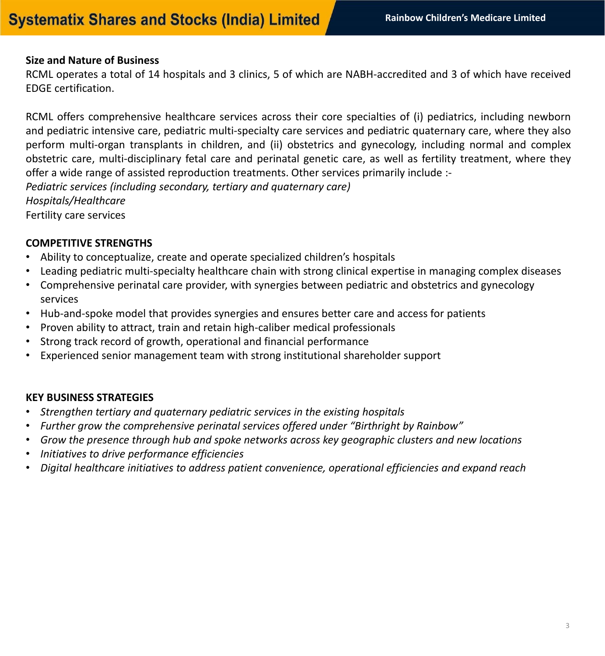#### **Size and Nature of Business**

RCML operates a total of 14 hospitals and 3 clinics, 5 of which are NABH-accredited and 3 of which have received EDGE certification.

RCML offers comprehensive healthcare services across their core specialties of (i) pediatrics, including newborn and pediatric intensive care, pediatric multi-specialty care services and pediatric quaternary care, where they also perform multi-organ transplants in children, and (ii) obstetrics and gynecology, including normal and complex obstetric care, multi-disciplinary fetal care and perinatal genetic care, as well as fertility treatment, where they offer a wide range of assisted reproduction treatments. Other services primarily include :- *Pediatric services (including secondary, tertiary and quaternary care) Hospitals/Healthcare* 

Fertility care services

#### **COMPETITIVE STRENGTHS**

- Ability to conceptualize, create and operate specialized children's hospitals
- Leading pediatric multi-specialty healthcare chain with strong clinical expertise in managing complex diseases
- Comprehensive perinatal care provider, with synergies between pediatric and obstetrics and gynecology services
- Hub-and-spoke model that provides synergies and ensures better care and access for patients
- Proven ability to attract, train and retain high-caliber medical professionals
- Strong track record of growth, operational and financial performance
- Experienced senior management team with strong institutional shareholder support

### **KEY BUSINESS STRATEGIES**

- *Strengthen tertiary and quaternary pediatric services in the existing hospitals*
- *Further grow the comprehensive perinatal services offered under "Birthright by Rainbow"*
- *Grow the presence through hub and spoke networks across key geographic clusters and new locations*
- *Initiatives to drive performance efficiencies*
- *Digital healthcare initiatives to address patient convenience, operational efficiencies and expand reach*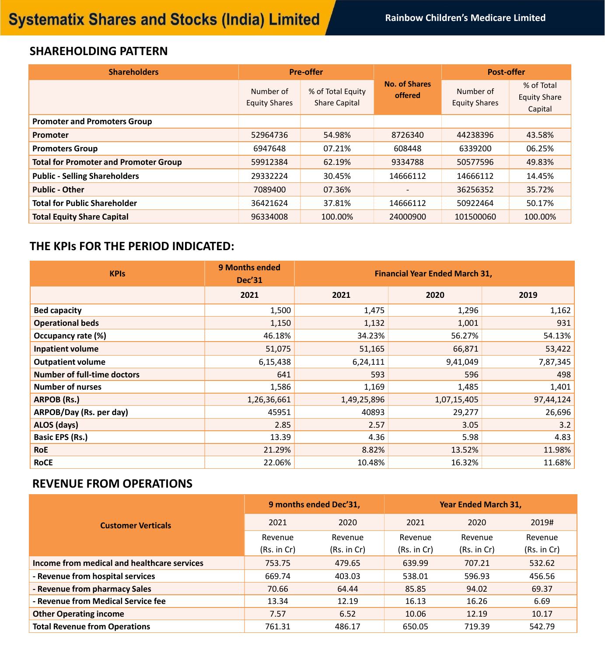## **SHAREHOLDING PATTERN**

| <b>Shareholders</b>                          |                                   | <b>Pre-offer</b>                          |                                        | <b>Post-offer</b>                 |                                              |  |
|----------------------------------------------|-----------------------------------|-------------------------------------------|----------------------------------------|-----------------------------------|----------------------------------------------|--|
|                                              | Number of<br><b>Equity Shares</b> | % of Total Equity<br><b>Share Capital</b> | <b>No. of Shares</b><br><b>offered</b> | Number of<br><b>Equity Shares</b> | % of Total<br><b>Equity Share</b><br>Capital |  |
| <b>Promoter and Promoters Group</b>          |                                   |                                           |                                        |                                   |                                              |  |
| <b>Promoter</b>                              | 52964736                          | 54.98%                                    | 8726340                                | 44238396                          | 43.58%                                       |  |
| <b>Promoters Group</b>                       | 6947648                           | 07.21%                                    | 608448                                 | 6339200                           | 06.25%                                       |  |
| <b>Total for Promoter and Promoter Group</b> | 59912384                          | 62.19%                                    | 9334788                                | 50577596                          | 49.83%                                       |  |
| <b>Public - Selling Shareholders</b>         | 29332224                          | 30.45%                                    | 14666112                               | 14666112                          | 14.45%                                       |  |
| <b>Public - Other</b>                        | 7089400                           | 07.36%                                    | $\qquad \qquad$                        | 36256352                          | 35.72%                                       |  |
| <b>Total for Public Shareholder</b>          | 36421624                          | 37.81%                                    | 14666112                               | 50922464                          | 50.17%                                       |  |
| <b>Total Equity Share Capital</b>            | 96334008                          | 100.00%                                   | 24000900                               | 101500060                         | 100.00%                                      |  |

## **THE KPIs FOR THE PERIOD INDICATED:**

| <b>KPIs</b>                        | <b>9 Months ended</b><br><b>Dec'31</b> | <b>Financial Year Ended March 31,</b> |             |           |  |  |  |
|------------------------------------|----------------------------------------|---------------------------------------|-------------|-----------|--|--|--|
|                                    | 2021                                   | 2021                                  | 2020        | 2019      |  |  |  |
| <b>Bed capacity</b>                | 1,500                                  | 1,475                                 | 1,296       | 1,162     |  |  |  |
| <b>Operational beds</b>            | 1,150                                  | 1,132                                 | 1,001       | 931       |  |  |  |
| <b>Occupancy rate (%)</b>          | 46.18%                                 | 34.23%                                | 56.27%      | 54.13%    |  |  |  |
| <b>Inpatient volume</b>            | 51,075                                 | 51,165                                | 66,871      | 53,422    |  |  |  |
| <b>Outpatient volume</b>           | 6,15,438                               | 6,24,111                              | 9,41,049    | 7,87,345  |  |  |  |
| <b>Number of full-time doctors</b> | 641                                    | 593                                   | 596         | 498       |  |  |  |
| <b>Number of nurses</b>            | 1,586                                  | 1,169                                 | 1,485       | 1,401     |  |  |  |
| ARPOB (Rs.)                        | 1,26,36,661                            | 1,49,25,896                           | 1,07,15,405 | 97,44,124 |  |  |  |
| ARPOB/Day (Rs. per day)            | 45951                                  | 40893                                 | 29,277      | 26,696    |  |  |  |
| ALOS (days)                        | 2.85                                   | 2.57                                  | 3.05        | 3.2       |  |  |  |
| <b>Basic EPS (Rs.)</b>             | 13.39                                  | 4.36                                  | 5.98        | 4.83      |  |  |  |
| <b>RoE</b>                         | 21.29%                                 | 8.82%                                 | 13.52%      | 11.98%    |  |  |  |
| <b>RoCE</b>                        | 22.06%                                 | 10.48%                                | 16.32%      | 11.68%    |  |  |  |

## **REVENUE FROM OPERATIONS**

|                                             |             | 9 months ended Dec'31, | <b>Year Ended March 31,</b> |             |             |  |
|---------------------------------------------|-------------|------------------------|-----------------------------|-------------|-------------|--|
| <b>Customer Verticals</b>                   | 2021        | 2020                   | 2021                        | 2020        | 2019#       |  |
|                                             | Revenue     | Revenue                | Revenue                     | Revenue     | Revenue     |  |
|                                             | (Rs. in Cr) | (Rs. in Cr)            | (Rs. in Cr)                 | (Rs. in Cr) | (Rs. in Cr) |  |
| Income from medical and healthcare services | 753.75      | 479.65                 | 639.99                      | 707.21      | 532.62      |  |
| - Revenue from hospital services            | 669.74      | 403.03                 | 538.01                      | 596.93      | 456.56      |  |
| - Revenue from pharmacy Sales               | 70.66       | 64.44                  | 85.85                       | 94.02       | 69.37       |  |
| - Revenue from Medical Service fee          | 13.34       | 12.19                  | 16.13                       | 16.26       | 6.69        |  |
| <b>Other Operating income</b>               | 7.57        | 6.52                   | 10.06                       | 12.19       | 10.17       |  |
| <b>Total Revenue from Operations</b>        | 761.31      | 486.17                 | 650.05                      | 719.39      | 542.79      |  |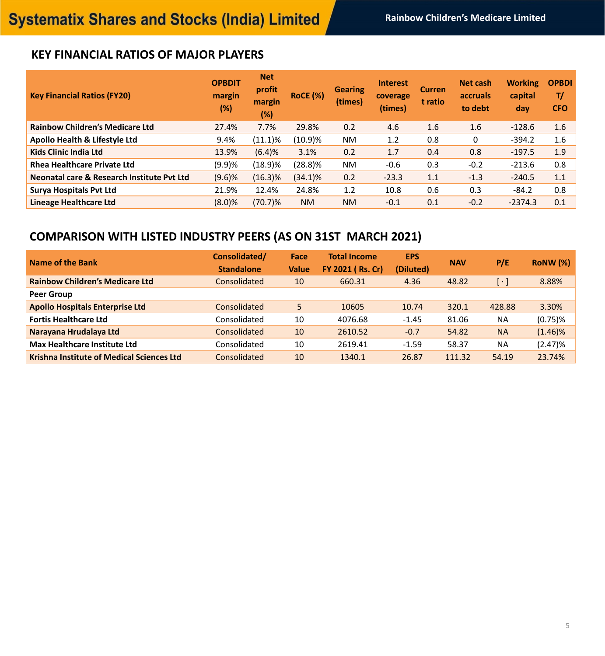## **KEY FINANCIAL RATIOS OF MAJOR PLAYERS**

| <b>Key Financial Ratios (FY20)</b>         | <b>OPBDIT</b><br>margin<br>(%) | <b>Net</b><br>profit<br>margin<br>(%) | <b>RoCE</b> (%) | <b>Gearing</b><br>(times) | <b>Interest</b><br>coverage<br>(times) | <b>Curren</b><br>t ratio | <b>Net cash</b><br>accruals<br>to debt | <b>Working</b><br>capital<br>day | <b>OPBDI</b><br>T/<br><b>CFO</b> |
|--------------------------------------------|--------------------------------|---------------------------------------|-----------------|---------------------------|----------------------------------------|--------------------------|----------------------------------------|----------------------------------|----------------------------------|
| <b>Rainbow Children's Medicare Ltd</b>     | 27.4%                          | 7.7%                                  | 29.8%           | 0.2                       | 4.6                                    | 1.6                      | 1.6                                    | $-128.6$                         | 1.6                              |
| <b>Apollo Health &amp; Lifestyle Ltd</b>   | 9.4%                           | $(11.1)\%$                            | $(10.9)\%$      | <b>NM</b>                 | 1.2                                    | 0.8                      | 0                                      | $-394.2$                         | 1.6                              |
| <b>Kids Clinic India Ltd</b>               | 13.9%                          | (6.4)%                                | 3.1%            | 0.2                       | 1.7                                    | 0.4                      | 0.8                                    | $-197.5$                         | 1.9                              |
| <b>Rhea Healthcare Private Ltd</b>         | (9.9)%                         | $(18.9)\%$                            | $(28.8)\%$      | <b>NM</b>                 | $-0.6$                                 | 0.3                      | $-0.2$                                 | $-213.6$                         | 0.8                              |
| Neonatal care & Research Institute Pvt Ltd | (9.6)%                         | $(16.3)\%$                            | $(34.1)\%$      | 0.2                       | $-23.3$                                | 1.1                      | $-1.3$                                 | $-240.5$                         | 1.1                              |
| <b>Surya Hospitals Pvt Ltd</b>             | 21.9%                          | 12.4%                                 | 24.8%           | 1.2                       | 10.8                                   | 0.6                      | 0.3                                    | $-84.2$                          | 0.8                              |
| Lineage Healthcare Ltd                     | $(8.0)$ %                      | $(70.7)\%$                            | <b>NM</b>       | <b>NM</b>                 | $-0.1$                                 | 0.1                      | $-0.2$                                 | $-2374.3$                        | 0.1                              |

# **COMPARISON WITH LISTED INDUSTRY PEERS (AS ON 31ST MARCH 2021)**

| Name of the Bank                                 | Consolidated/<br><b>Standalone</b> | <b>Face</b><br><b>Value</b> | <b>Total Income</b><br><b>FY 2021 (Rs. Cr)</b> | <b>EPS</b><br>(Diluted) | <b>NAV</b> | P/E                   | <b>RoNW</b> (%) |
|--------------------------------------------------|------------------------------------|-----------------------------|------------------------------------------------|-------------------------|------------|-----------------------|-----------------|
| <b>Rainbow Children's Medicare Ltd</b>           | <b>Consolidated</b>                | 10                          | 660.31                                         | 4.36                    | 48.82      | $\lceil \cdot \rceil$ | 8.88%           |
| <b>Peer Group</b>                                |                                    |                             |                                                |                         |            |                       |                 |
| <b>Apollo Hospitals Enterprise Ltd</b>           | <b>Consolidated</b>                | 5                           | 10605                                          | 10.74                   | 320.1      | 428.88                | 3.30%           |
| <b>Fortis Healthcare Ltd</b>                     | Consolidated                       | 10                          | 4076.68                                        | $-1.45$                 | 81.06      | <b>NA</b>             | $(0.75)\%$      |
| Narayana Hrudalaya Ltd                           | Consolidated                       | 10                          | 2610.52                                        | $-0.7$                  | 54.82      | <b>NA</b>             | $(1.46)\%$      |
| <b>Max Healthcare Institute Ltd</b>              | Consolidated                       | 10                          | 2619.41                                        | $-1.59$                 | 58.37      | <b>NA</b>             | $(2.47)\%$      |
| <b>Krishna Institute of Medical Sciences Ltd</b> | <b>Consolidated</b>                | 10                          | 1340.1                                         | 26.87                   | 111.32     | 54.19                 | 23.74%          |